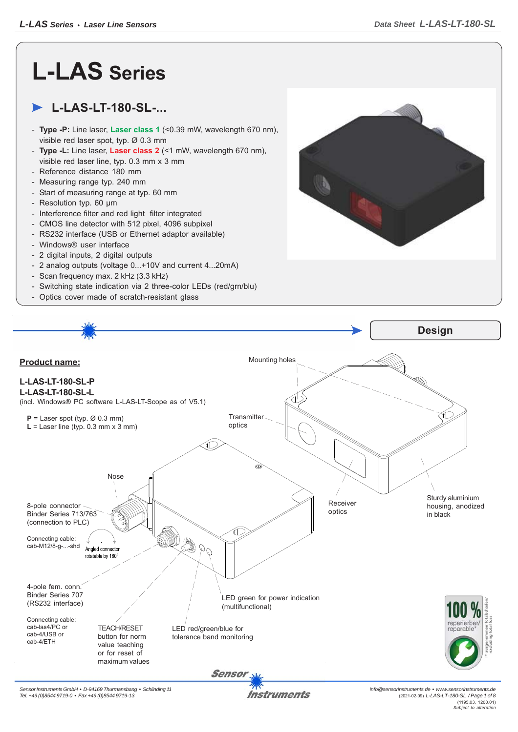# **L-LAS Series**

# **L-LAS-LT-180-SL-...**

- **Type -P:** Line laser, **Laser class 1** (<0.39 mW, wavelength 670 nm), visible red laser spot, typ. Ø 0.3 mm
- **Type -L:** Line laser, **Laser class 2** (<1 mW, wavelength 670 nm), visible red laser line, typ. 0.3 mm x 3 mm
- Reference distance 180 mm
- Measuring range typ. 240 mm
- Start of measuring range at typ. 60 mm
- Resolution typ. 60 μm
- Interference filter and red light filter integrated
- CMOS line detector with 512 pixel, 4096 subpixel
- RS232 interface (USB or Ethernet adaptor available)
- Windows® user interface
- 2 digital inputs, 2 digital outputs
- 2 analog outputs (voltage 0...+10V and current 4...20mA)
- Scan frequency max. 2 kHz (3.3 kHz)
- Switching state indication via 2 three-color LEDs (red/grn/blu)
- Optics cover made of scratch-resistant glass





**Instruments**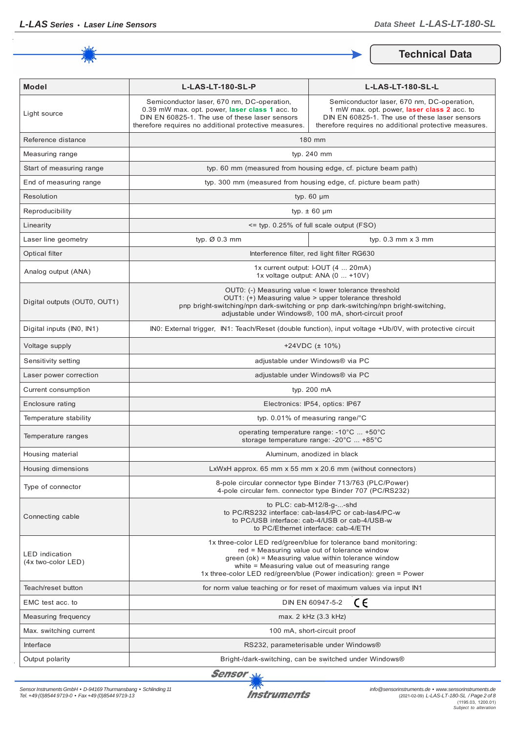

**Technical Data**

| <b>Model</b>                                  | L-LAS-LT-180-SL-P                                                                                                                                                                                       | L-LAS-LT-180-SL-L                                                                                                                                                                                                                                                                                  |
|-----------------------------------------------|---------------------------------------------------------------------------------------------------------------------------------------------------------------------------------------------------------|----------------------------------------------------------------------------------------------------------------------------------------------------------------------------------------------------------------------------------------------------------------------------------------------------|
| Light source                                  | Semiconductor laser, 670 nm, DC-operation,<br>0.39 mW max. opt. power, laser class 1 acc. to<br>DIN EN 60825-1. The use of these laser sensors<br>therefore requires no additional protective measures. | Semiconductor laser, 670 nm, DC-operation,<br>1 mW max. opt. power, laser class 2 acc. to<br>DIN EN 60825-1. The use of these laser sensors<br>therefore requires no additional protective measures.                                                                                               |
| Reference distance                            |                                                                                                                                                                                                         | 180 mm                                                                                                                                                                                                                                                                                             |
| Measuring range                               | typ. 240 mm                                                                                                                                                                                             |                                                                                                                                                                                                                                                                                                    |
| Start of measuring range                      | typ. 60 mm (measured from housing edge, cf. picture beam path)                                                                                                                                          |                                                                                                                                                                                                                                                                                                    |
| End of measuring range                        | typ. 300 mm (measured from housing edge, cf. picture beam path)                                                                                                                                         |                                                                                                                                                                                                                                                                                                    |
| Resolution                                    | typ. $60 \mu m$                                                                                                                                                                                         |                                                                                                                                                                                                                                                                                                    |
| Reproducibility                               | typ. $\pm$ 60 $\mu$ m                                                                                                                                                                                   |                                                                                                                                                                                                                                                                                                    |
| Linearity                                     | <= typ. 0.25% of full scale output (FSO)                                                                                                                                                                |                                                                                                                                                                                                                                                                                                    |
| Laser line geometry                           | typ. $\varnothing$ 0.3 mm                                                                                                                                                                               | typ. $0.3$ mm $\times$ 3 mm                                                                                                                                                                                                                                                                        |
| Optical filter                                |                                                                                                                                                                                                         | Interference filter, red light filter RG630                                                                                                                                                                                                                                                        |
| Analog output (ANA)                           | 1x current output: I-OUT (4  20mA)<br>1x voltage output: ANA (0  +10V)                                                                                                                                  |                                                                                                                                                                                                                                                                                                    |
| Digital outputs (OUT0, OUT1)                  |                                                                                                                                                                                                         | OUTO: (-) Measuring value < lower tolerance threshold<br>OUT1: (+) Measuring value > upper tolerance threshold<br>pnp bright-switching/npn dark-switching or pnp dark-switching/npn bright-switching,<br>adjustable under Windows®, 100 mA, short-circuit proof                                    |
| Digital inputs (IN0, IN1)                     |                                                                                                                                                                                                         | INO: External trigger, IN1: Teach/Reset (double function), input voltage +Ub/0V, with protective circuit                                                                                                                                                                                           |
| Voltage supply                                | $+24VDC$ ( $\pm$ 10%)                                                                                                                                                                                   |                                                                                                                                                                                                                                                                                                    |
| Sensitivity setting                           | adjustable under Windows® via PC                                                                                                                                                                        |                                                                                                                                                                                                                                                                                                    |
| Laser power correction                        | adjustable under Windows® via PC                                                                                                                                                                        |                                                                                                                                                                                                                                                                                                    |
| Current consumption                           | typ. 200 mA                                                                                                                                                                                             |                                                                                                                                                                                                                                                                                                    |
| Enclosure rating                              | Electronics: IP54, optics: IP67                                                                                                                                                                         |                                                                                                                                                                                                                                                                                                    |
| Temperature stability                         | typ. 0.01% of measuring range/°C                                                                                                                                                                        |                                                                                                                                                                                                                                                                                                    |
| Temperature ranges                            | operating temperature range: $-10^{\circ}$ C $+50^{\circ}$ C<br>storage temperature range: -20°C  +85°C                                                                                                 |                                                                                                                                                                                                                                                                                                    |
| Housing material                              | Aluminum, anodized in black                                                                                                                                                                             |                                                                                                                                                                                                                                                                                                    |
| Housing dimensions                            |                                                                                                                                                                                                         | LxWxH approx. 65 mm x 55 mm x 20.6 mm (without connectors)                                                                                                                                                                                                                                         |
| Type of connector                             |                                                                                                                                                                                                         | 8-pole circular connector type Binder 713/763 (PLC/Power)<br>4-pole circular fem. connector type Binder 707 (PC/RS232)                                                                                                                                                                             |
| Connecting cable                              |                                                                                                                                                                                                         | to PLC: cab-M12/8-g--shd<br>to PC/RS232 interface: cab-las4/PC or cab-las4/PC-w<br>to PC/USB interface: cab-4/USB or cab-4/USB-w<br>to PC/Ethernet interface: cab-4/ETH                                                                                                                            |
| <b>LED</b> indication<br>$(4x$ two-color LED) |                                                                                                                                                                                                         | 1x three-color LED red/green/blue for tolerance band monitoring:<br>red = Measuring value out of tolerance window<br>green (ok) = Measuring value within tolerance window<br>white = Measuring value out of measuring range<br>1x three-color LED red/green/blue (Power indication): green = Power |
| Teach/reset button                            |                                                                                                                                                                                                         | for norm value teaching or for reset of maximum values via input IN1                                                                                                                                                                                                                               |
| EMC test acc. to                              |                                                                                                                                                                                                         | ce<br>DIN EN 60947-5-2                                                                                                                                                                                                                                                                             |
| Measuring frequency                           |                                                                                                                                                                                                         | max. 2 kHz (3.3 kHz)                                                                                                                                                                                                                                                                               |
| Max. switching current                        |                                                                                                                                                                                                         | 100 mA, short-circuit proof                                                                                                                                                                                                                                                                        |
| Interface                                     |                                                                                                                                                                                                         | RS232, parameterisable under Windows®                                                                                                                                                                                                                                                              |
| Output polarity                               |                                                                                                                                                                                                         | Bright-/dark-switching, can be switched under Windows®                                                                                                                                                                                                                                             |

Sensor W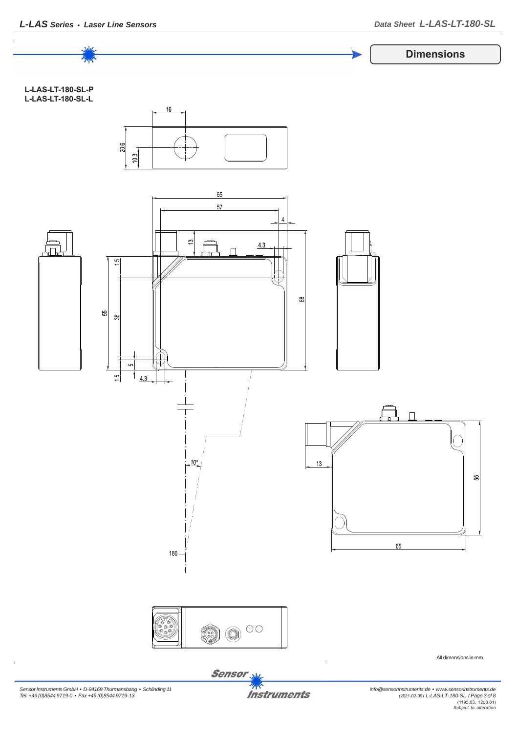

*Sensor Instruments GmbH • D-94169 Thurmansbang • Schlinding 11 Tel. +49 (0)8544 9719-0 • Fax +49 (0)8544 9719-13*

**Instruments**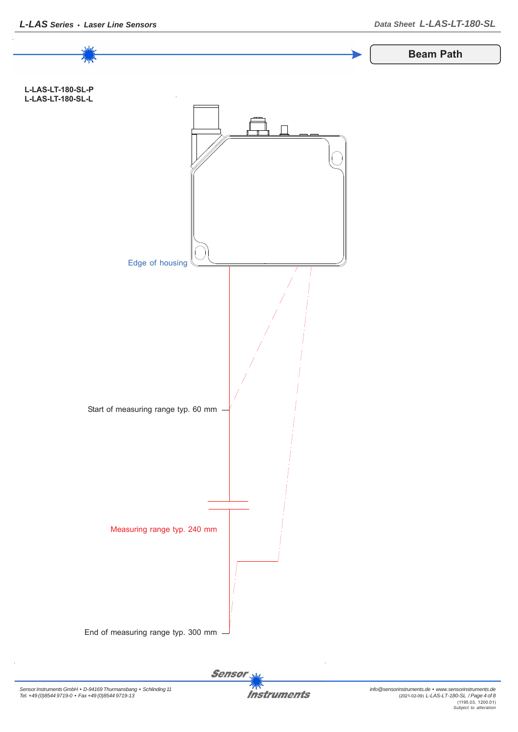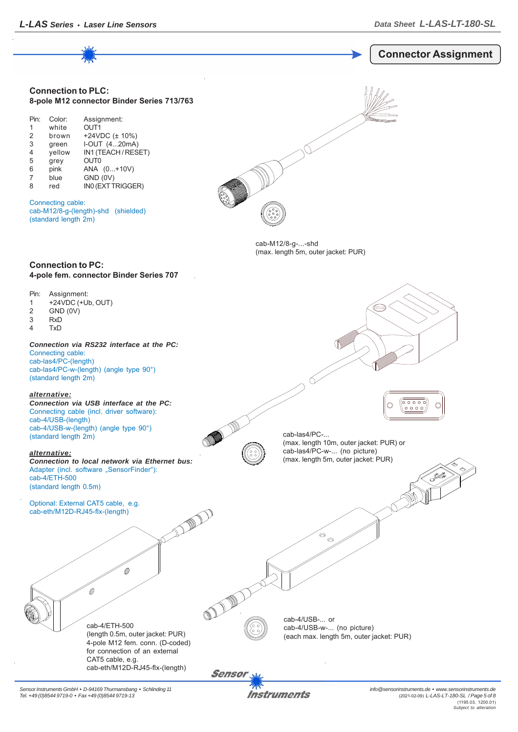

*Sensor Instruments GmbH • D-94169 Thurmansbang • Schlinding 11 Tel. +49 (0)8544 9719-0 • Fax +49 (0)8544 9719-13*

Instruments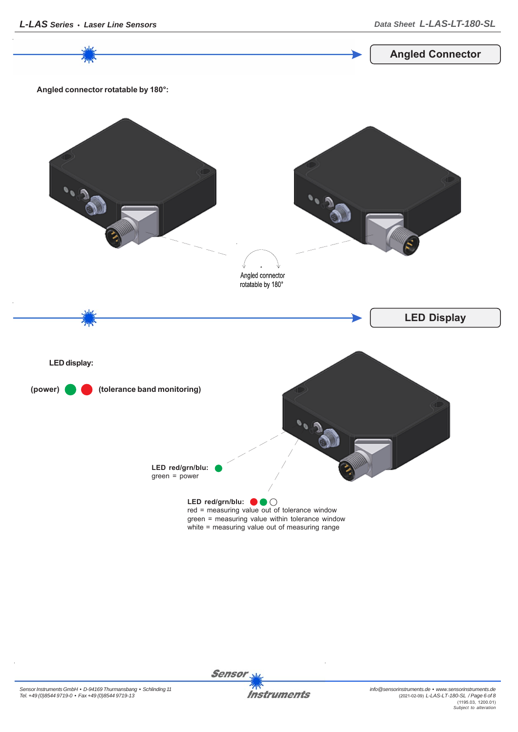**Sensor** 





**Angled Connector**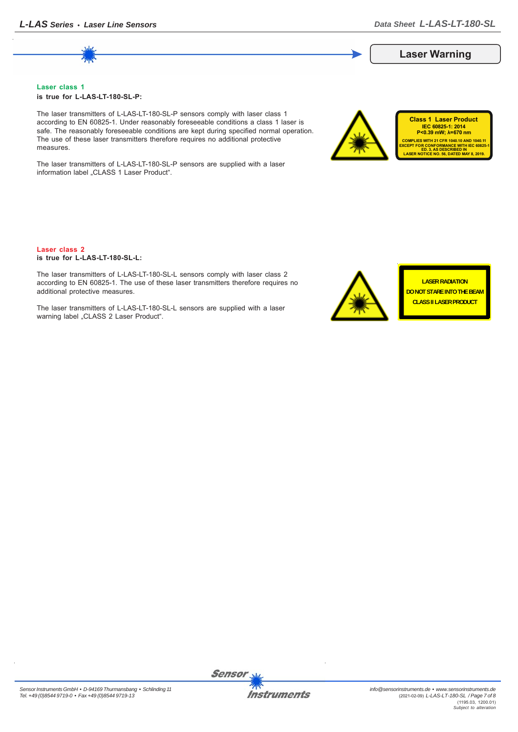## **Laser Warning**

**Class 1 Laser Product IEC 60825-1: 2014**<br>P<0.39 mW; λ=670 nm

**COMPLIES WITH 21 CFR 1040.10 AND 1040.11 EXCEPT FOR CONFORMANCE WITH IEC 60825-1 ED. 3, AS DESCRIBED IN LASER NOTICE NO. 56, DATED MAY 8, 2019.**

#### **Laser class 1 is true for L-LAS-LT-180-SL-P:**

The laser transmitters of L-LAS-LT-180-SL-P sensors comply with laser class 1 according to EN 60825-1. Under reasonably foreseeable conditions a class 1 laser is safe. The reasonably foreseeable conditions are kept during specified normal operation. The use of these laser transmitters therefore requires no additional protective measures.

The laser transmitters of L-LAS-LT-180-SL-P sensors are supplied with a laser information label "CLASS 1 Laser Product".

#### **Laser class 2 is true for L-LAS-LT-180-SL-L:**

The laser transmitters of L-LAS-LT-180-SL-L sensors comply with laser class 2 according to EN 60825-1. The use of these laser transmitters therefore requires no additional protective measures.

The laser transmitters of L-LAS-LT-180-SL-L sensors are supplied with a laser warning label "CLASS 2 Laser Product".



**LASER RADIATION DO NOT STARE INTO THE BEAM CLASS II LASER PRODUCT**